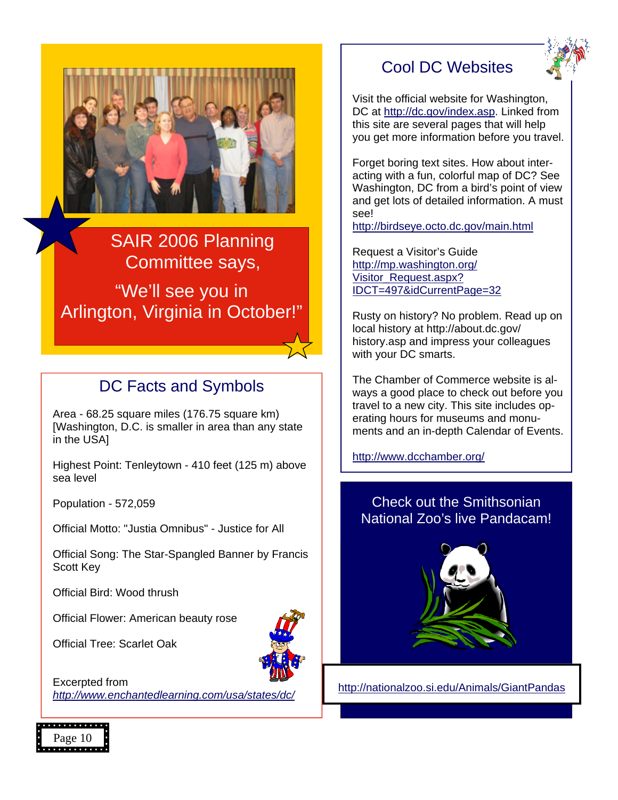



SAIR 2006 Planning Committee says,

"We'll see you in Arlington, Virginia in October!"

## DC Facts and Symbols

Area - 68.25 square miles (176.75 square km) [Washington, D.C. is smaller in area than any state in the USA]

Highest Point: Tenleytown - 410 feet (125 m) above sea level

Population - 572,059

Official Motto: "Justia Omnibus" - Justice for All

Official Song: The Star-Spangled Banner by Francis Scott Key

Official Bird: Wood thrush

Official Flower: American beauty rose

Official Tree: Scarlet Oak



Excerpted from *<http://www.enchantedlearning.com/usa/states/dc/>*

## Cool DC Websites

Visit the official website for Washington, DC at [http://dc.gov/index.asp.](http://dc.gov/index.asp) Linked from this site are several pages that will help you get more information before you travel.

Forget boring text sites. How about interacting with a fun, colorful map of DC? See Washington, DC from a bird's point of view and get lots of detailed information. A must see!

<http://birdseye.octo.dc.gov/main.html>

Request a Visitor's Guide http://mp.washington.org/ Visitor\_Request.aspx? [IDCT=497&idCurrentPage=32](http://mp.washington.org/visitor_request.aspx?idct=497&idCurrentPage=32)

Rusty on history? No problem. Read up on local history at http://about.dc.gov/ history.asp and impress your colleagues with your DC smarts.

The Chamber of Commerce website is always a good place to check out before you travel to a new city. This site includes operating hours for museums and monuments and an in-depth Calendar of Events.

[http://www.dcchamber.org/](http://www.dcchamber.org)

## Check out the Smithsonian National Zoo's live Pandacam!



[http://nationalzoo.si.edu/Animals/GiantPandas](http://nationalzoo.si.edu/animals/giantpandas)

Page 10